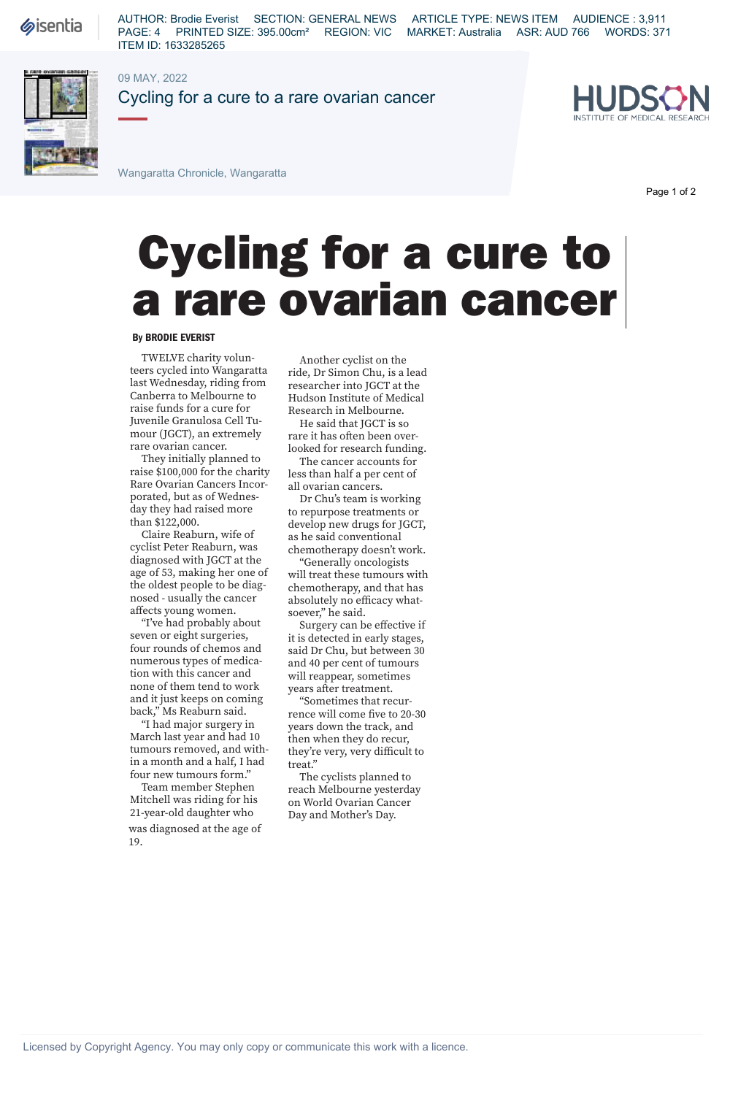## a rare ovarian cancer By BRODIE EVERIST<br>TWELVE charity volun-<br>Another cyclist on the

## **By BRODIE EVERIST**

TWELVE charity volunteers cycled into Wangaratta last Wednesday, riding from Canberra to Melbourne to raise funds for a cure for Juvenile Granulosa Cell Tumour (JGCT), an extremely rare ovarian cancer.

They initially planned to raise \$100,000 for the charity Rare Ovarian Cancers Incorporated, but as of Wednesday they had raised more than \$122,000.

Claire Reaburn, wife of cyclist Peter Reaburn, was diagnosed with JGCT at the age of 53, making her one of the oldest people to be diagnosed - usually the cancer affects young women.

"I've had probably about seven or eight surgeries, four rounds of chemos and numerous types of medication with this cancer and none of them tend to work and it just keeps on coming back," Ms Reaburn said.

"I had major surgery in March last year and had 10 tumours removed, and within a month and a half, I had four new tumours form."

Team member Stephen Mitchell was riding for his 21-year-old daughter who

was diagnosed at the age of 19.

Another cyclist on the ride, Dr Simon Chu, is a lead researcher into JGCT at the Hudson Institute of Medical Research in Melbourne.

He said that JGCT is so rare it has often been overlooked for research funding.

The cancer accounts for less than half a per cent of all ovarian cancers.

Dr Chu's team is working to repurpose treatments or develop new drugs for JGCT, as he said conventional chemotherapy doesn't work.

"Generally oncologists will treat these tumours with chemotherapy, and that has absolutely no efficacy whatsoever," he said.

Surgery can be effective if it is detected in early stages, said Dr Chu, but between 30 and 40 per cent of tumours will reappear, sometimes years after treatment.

"Sometimes that recurrence will come five to 20-30 years down the track, and then when they do recur, they're very, very difficult to treat."

The cyclists planned to reach Melbourne yesterday on World Ovarian Cancer Day and Mother's Day.